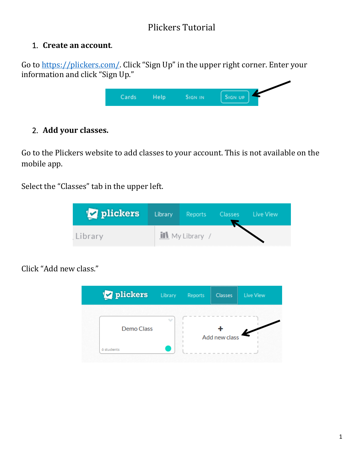# Plickers Tutorial

#### 1. **Create an account**.

Go to<https://plickers.com/>. Click "Sign Up" in the upper right corner. Enter your information and click "Sign Up."

| - | Sign in | SIGN UP |
|---|---------|---------|
|   |         |         |

### 2. **Add your classes.**

Go to the Plickers website to add classes to your account. This is not available on the mobile app.

Select the "Classes" tab in the upper left.

| plickers | Library | <b>Reports</b>          | Classes Live View |
|----------|---------|-------------------------|-------------------|
| Library  |         | <b>iii</b> My Library / |                   |

Click "Add new class."

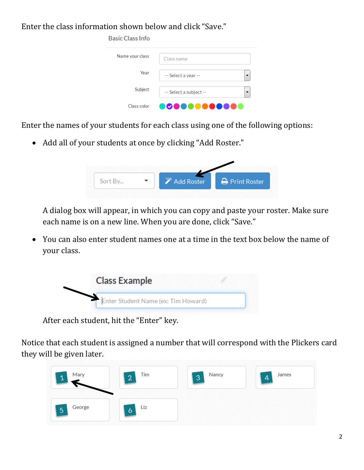Enter the class information shown below and click "Save."

| <b>Basic Class Info</b> |                        |
|-------------------------|------------------------|
| Name your class         | Class name             |
| Year                    | -- Select a year --    |
| Subject                 | -- Select a subject -- |
| Class color             |                        |

Enter the names of your students for each class using one of the following options:

• Add all of your students at once by clicking "Add Roster."



A dialog box will appear, in which you can copy and paste your roster. Make sure each name is on a new line. When you are done, click "Save."

 You can also enter student names one at a time in the text box below the name of your class.



After each student, hit the "Enter" key.

Notice that each student is assigned a number that will correspond with the Plickers card they will be given later.

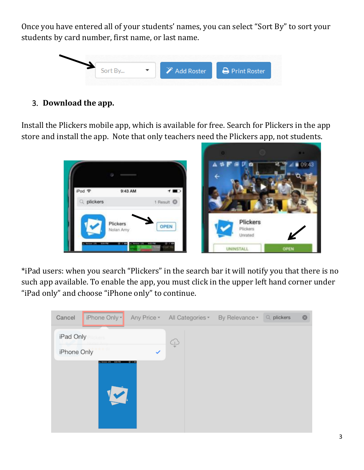Once you have entered all of your students' names, you can select "Sort By" to sort your students by card number, first name, or last name.



3. **Download the app.** 

Install the Plickers mobile app, which is available for free. Search for Plickers in the app store and install the app. Note that only teachers need the Plickers app, not students.



\*iPad users: when you search "Plickers" in the search bar it will notify you that there is no such app available. To enable the app, you must click in the upper left hand corner under "iPad only" and choose "iPhone only" to continue.

| Cancel      | iPhone Only -        | Any Price * | All Categories * | By Relevance * | $Q$ plickers | 0 |
|-------------|----------------------|-------------|------------------|----------------|--------------|---|
| iPad Only   | ckers                |             |                  |                |              |   |
| iPhone Only |                      | ✓           | P                |                |              |   |
|             | use US - 604 PM      | 97.08       |                  |                |              |   |
|             |                      |             |                  |                |              |   |
|             | $\blacktriangledown$ |             |                  |                |              |   |
|             |                      |             |                  |                |              |   |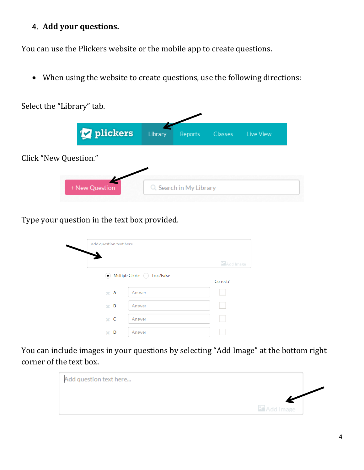### 4. **Add your questions.**

You can use the Plickers website or the mobile app to create questions.

When using the website to create questions, use the following directions:



Type your question in the text box provided.

| Add question text here |                                |                     |
|------------------------|--------------------------------|---------------------|
|                        |                                | <b>La</b> Add Image |
|                        | • Multiple Choice / True/False | Correct?            |
| $\mathbb{R}$ A         | Answer                         |                     |
| $\times$ B             | Answer                         |                     |
| $\times$ C             | Answer                         |                     |
| D<br>×                 | Answer                         |                     |

You can include images in your questions by selecting "Add Image" at the bottom right corner of the text box.

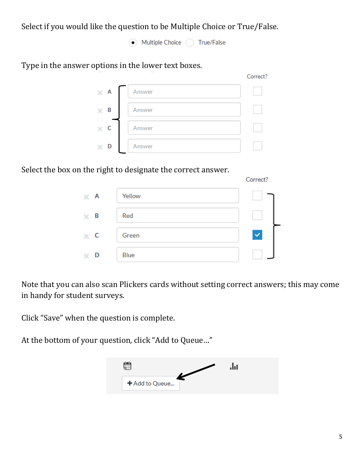Select if you would like the question to be Multiple Choice or True/False.

• Multiple Choice / True/False

Type in the answer options in the lower text boxes.

| А | Answer |  |
|---|--------|--|
| B | Answer |  |
|   | Answer |  |
| D | Answer |  |

Correct?

Select the box on the right to designate the correct answer.

|                |        | Correct? |
|----------------|--------|----------|
| $\mathbb{X}$ A | Yellow |          |
| В<br>×         | Red    |          |
| $\mathbb{R}$ C | Green  |          |
| D<br>×         | Blue   |          |

Note that you can also scan Plickers cards without setting correct answers; this may come in handy for student surveys.

Click "Save" when the question is complete.

At the bottom of your question, click "Add to Queue…"

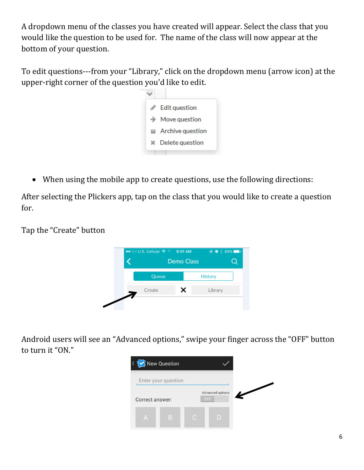A dropdown menu of the classes you have created will appear. Select the class that you would like the question to be used for. The name of the class will now appear at the bottom of your question.

To edit questions---from your "Library," click on the dropdown menu (arrow icon) at the upper-right corner of the question you'd like to edit.



When using the mobile app to create questions, use the following directions:

After selecting the Plickers app, tap on the class that you would like to create a question for.

Tap the "Create" button



Android users will see an "Advanced options," swipe your finger across the "OFF" button to turn it "ON."

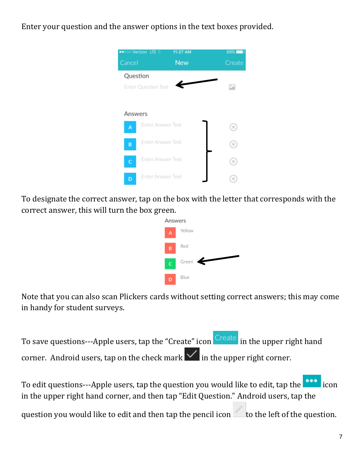Enter your question and the answer options in the text boxes provided.



To designate the correct answer, tap on the box with the letter that corresponds with the correct answer, this will turn the box green.



Note that you can also scan Plickers cards without setting correct answers; this may come in handy for student surveys.

To save questions---Apple users, tap the "Create" icon Create in the upper right hand corner. Android users, tap on the check mark  $\vee$  in the upper right corner.

To edit questions---Apple users, tap the question you would like to edit, tap the icon in the upper right hand corner, and then tap "Edit Question." Android users, tap the question you would like to edit and then tap the pencil icon to the left of the question.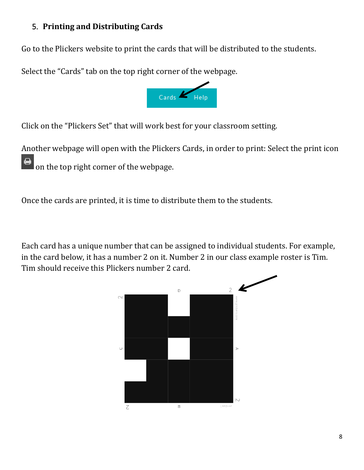## 5. **Printing and Distributing Cards**

Go to the Plickers website to print the cards that will be distributed to the students.

Select the "Cards" tab on the top right corner of the webpage.



Click on the "Plickers Set" that will work best for your classroom setting.

Another webpage will open with the Plickers Cards, in order to print: Select the print icon on the top right corner of the webpage.

Once the cards are printed, it is time to distribute them to the students.

Each card has a unique number that can be assigned to individual students. For example, in the card below, it has a number 2 on it. Number 2 in our class example roster is Tim. Tim should receive this Plickers number 2 card.

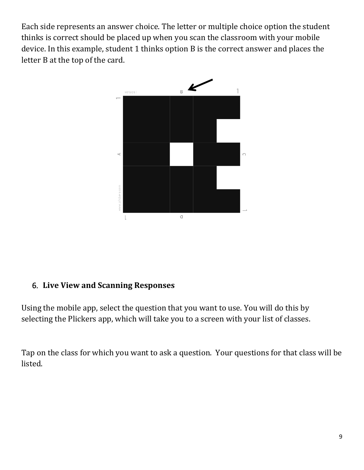Each side represents an answer choice. The letter or multiple choice option the student thinks is correct should be placed up when you scan the classroom with your mobile device. In this example, student 1 thinks option B is the correct answer and places the letter B at the top of the card.



## 6. **Live View and Scanning Responses**

Using the mobile app, select the question that you want to use. You will do this by selecting the Plickers app, which will take you to a screen with your list of classes.

Tap on the class for which you want to ask a question. Your questions for that class will be listed.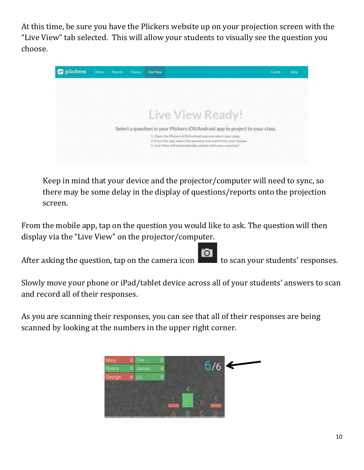At this time, be sure you have the Plickers website up on your projection screen with the "Live View" tab selected. This will allow your students to visually see the question you choose.



Keep in mind that your device and the projector/computer will need to sync, so there may be some delay in the display of questions/reports onto the projection screen.

From the mobile app, tap on the question you would like to ask. The question will then display via the "Live View" on the projector/computer.

After asking the question, tap on the camera icon  $\overline{a}$  to scan your students' responses.

Slowly move your phone or iPad/tablet device across all of your students' answers to scan and record all of their responses.

As you are scanning their responses, you can see that all of their responses are being scanned by looking at the numbers in the upper right corner.

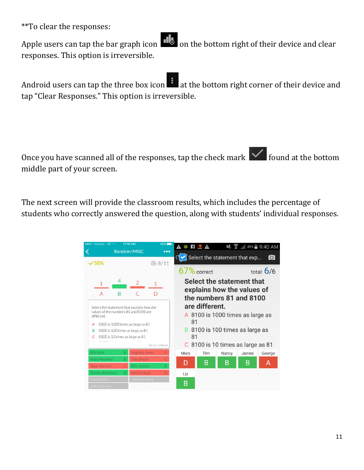\*\*To clear the responses:

Apple users can tap the bar graph icon  $\blacksquare$  on the bottom right of their device and clear responses. This option is irreversible.

Android users can tap the three box icon at the bottom right corner of their device and tap "Clear Responses." This option is irreversible.

Once you have scanned all of the responses, tap the check mark  $\vert \checkmark \vert$  found at the bottom middle part of your screen.

The next screen will provide the classroom results, which includes the percentage of students who correctly answered the question, along with students' individual responses.

| ●●●○○ Verizon LTE          |                                                                                     | 11:15 AM                                                                                 | 89%                                                                                                                                      | <b>A C F L A</b>                        |     |                                                     | $\leq$ $\frac{2}{3}$ , 49% 9:40 AM |              |
|----------------------------|-------------------------------------------------------------------------------------|------------------------------------------------------------------------------------------|------------------------------------------------------------------------------------------------------------------------------------------|-----------------------------------------|-----|-----------------------------------------------------|------------------------------------|--------------|
| $\times$ 50%               |                                                                                     | Random/MISC                                                                              | <br><b>品8/11</b>                                                                                                                         |                                         |     | $\blacktriangleright$ Select the statement that exp |                                    | ſО           |
|                            |                                                                                     |                                                                                          |                                                                                                                                          | 67% correct                             |     |                                                     |                                    | total: $6/6$ |
| A                          | в                                                                                   | C<br>Select the statement that explains how the<br>values of the numbers 81 and 8100 are | Select the statement that<br>explains how the values of<br>the numbers 81 and 8100<br>are different.<br>A 8100 is 1000 times as large as |                                         |     |                                                     |                                    |              |
| в                          | different.<br>8100 is 1000 times as large as 81<br>8100 is 100 times as large as 81 |                                                                                          |                                                                                                                                          | 81                                      |     | <b>B</b> 8100 is 100 times as large as              |                                    |              |
|                            |                                                                                     | 8100 is 10 times as large as 81                                                          | Tap to collapse                                                                                                                          | 81<br>C 8100 is 10 times as large as 81 |     |                                                     |                                    |              |
| <b>Billy Bob</b>           | в                                                                                   | Angelica Jones                                                                           |                                                                                                                                          | Mary                                    | Tim | Nancy                                               | James                              | George       |
| Mary Weather               |                                                                                     | <b>Toby Bryan</b>                                                                        |                                                                                                                                          |                                         |     |                                                     |                                    |              |
| Skye Marcum                |                                                                                     | <b>Billy Jenson</b>                                                                      | в                                                                                                                                        | D                                       | B   | B                                                   | B                                  | А            |
| Tammy Robinson             |                                                                                     | Ashley Head                                                                              |                                                                                                                                          | Liz                                     |     |                                                     |                                    |              |
| Danny Bob<br>Jeffrey Evans |                                                                                     | Jameson Black                                                                            |                                                                                                                                          | B                                       |     |                                                     |                                    |              |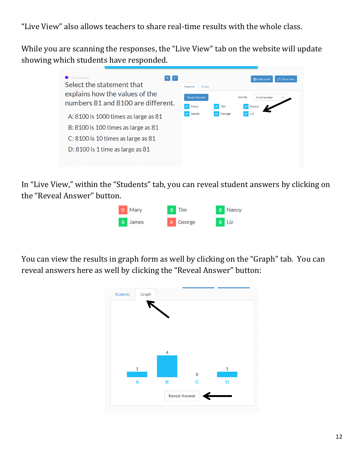"Live View" also allows teachers to share real-time results with the whole class.

While you are scanning the responses, the "Live View" tab on the website will update showing which students have responded.



In "Live View," within the "Students" tab, you can reveal student answers by clicking on the "Reveal Answer" button.



You can view the results in graph form as well by clicking on the "Graph" tab. You can reveal answers here as well by clicking the "Reveal Answer" button:

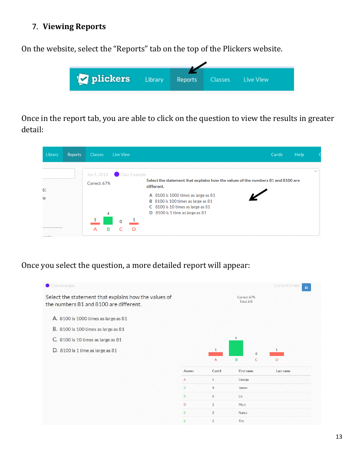### 7. **Viewing Reports**

On the website, select the "Reports" tab on the top of the Plickers website.



Once in the report tab, you are able to click on the question to view the results in greater detail:



Once you select the question, a more detailed report will appear: